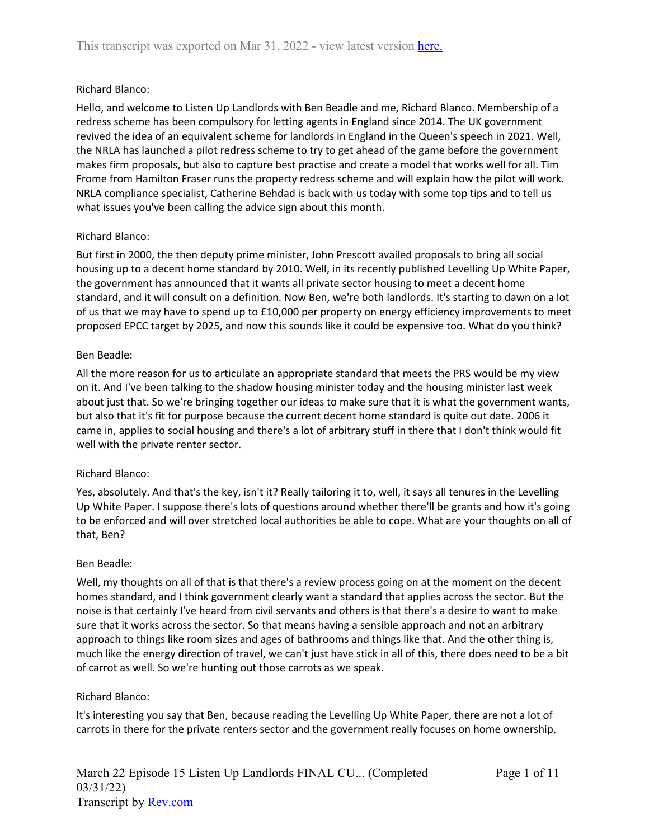## Richard Blanco:

Hello, and welcome to Listen Up Landlords with Ben Beadle and me, Richard Blanco. Membership of a redress scheme has been compulsory for letting agents in England since 2014. The UK government revived the idea of an equivalent scheme for landlords in England in the Queen's speech in 2021. Well, the NRLA has launched a pilot redress scheme to try to get ahead of the game before the government makes firm proposals, but also to capture best practise and create a model that works well for all. Tim Frome from Hamilton Fraser runs the property redress scheme and will explain how the pilot will work. NRLA compliance specialist, Catherine Behdad is back with us today with some top tips and to tell us what issues you've been calling the advice sign about this month.

## Richard Blanco:

But first in 2000, the then deputy prime minister, John Prescott availed proposals to bring all social housing up to a decent home standard by 2010. Well, in its recently published Levelling Up White Paper, the government has announced that it wants all private sector housing to meet a decent home standard, and it will consult on a definition. Now Ben, we're both landlords. It's starting to dawn on a lot of us that we may have to spend up to £10,000 per property on energy efficiency improvements to meet proposed EPCC target by 2025, and now this sounds like it could be expensive too. What do you think?

## Ben Beadle:

All the more reason for us to articulate an appropriate standard that meets the PRS would be my view on it. And I've been talking to the shadow housing minister today and the housing minister last week about just that. So we're bringing together our ideas to make sure that it is what the government wants, but also that it's fit for purpose because the current decent home standard is quite out date. 2006 it came in, applies to social housing and there's a lot of arbitrary stuff in there that I don't think would fit well with the private renter sector.

## Richard Blanco:

Yes, absolutely. And that's the key, isn't it? Really tailoring it to, well, it says all tenures in the Levelling Up White Paper. I suppose there's lots of questions around whether there'll be grants and how it's going to be enforced and will over stretched local authorities be able to cope. What are your thoughts on all of that, Ben?

### Ben Beadle:

Well, my thoughts on all of that is that there's a review process going on at the moment on the decent homes standard, and I think government clearly want a standard that applies across the sector. But the noise is that certainly I've heard from civil servants and others is that there's a desire to want to make sure that it works across the sector. So that means having a sensible approach and not an arbitrary approach to things like room sizes and ages of bathrooms and things like that. And the other thing is, much like the energy direction of travel, we can't just have stick in all of this, there does need to be a bit of carrot as well. So we're hunting out those carrots as we speak.

### Richard Blanco:

It's interesting you say that Ben, because reading the Levelling Up White Paper, there are not a lot of carrots in there for the private renters sector and the government really focuses on home ownership,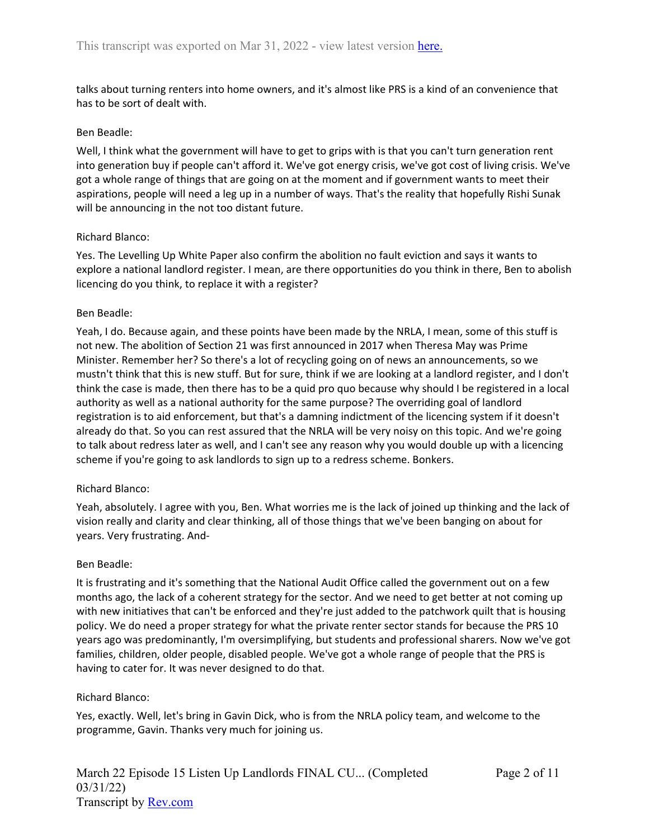talks about turning renters into home owners, and it's almost like PRS is a kind of an convenience that has to be sort of dealt with.

### Ben Beadle:

Well, I think what the government will have to get to grips with is that you can't turn generation rent into generation buy if people can't afford it. We've got energy crisis, we've got cost of living crisis. We've got a whole range of things that are going on at the moment and if government wants to meet their aspirations, people will need a leg up in a number of ways. That's the reality that hopefully Rishi Sunak will be announcing in the not too distant future.

### Richard Blanco:

Yes. The Levelling Up White Paper also confirm the abolition no fault eviction and says it wants to explore a national landlord register. I mean, are there opportunities do you think in there, Ben to abolish licencing do you think, to replace it with a register?

## Ben Beadle:

Yeah, I do. Because again, and these points have been made by the NRLA, I mean, some of this stuff is not new. The abolition of Section 21 was first announced in 2017 when Theresa May was Prime Minister. Remember her? So there's a lot of recycling going on of news an announcements, so we mustn't think that this is new stuff. But for sure, think if we are looking at a landlord register, and I don't think the case is made, then there has to be a quid pro quo because why should I be registered in a local authority as well as a national authority for the same purpose? The overriding goal of landlord registration is to aid enforcement, but that's a damning indictment of the licencing system if it doesn't already do that. So you can rest assured that the NRLA will be very noisy on this topic. And we're going to talk about redress later as well, and I can't see any reason why you would double up with a licencing scheme if you're going to ask landlords to sign up to a redress scheme. Bonkers.

### Richard Blanco:

Yeah, absolutely. I agree with you, Ben. What worries me is the lack of joined up thinking and the lack of vision really and clarity and clear thinking, all of those things that we've been banging on about for years. Very frustrating. And-

### Ben Beadle:

It is frustrating and it's something that the National Audit Office called the government out on a few months ago, the lack of a coherent strategy for the sector. And we need to get better at not coming up with new initiatives that can't be enforced and they're just added to the patchwork quilt that is housing policy. We do need a proper strategy for what the private renter sector stands for because the PRS 10 years ago was predominantly, I'm oversimplifying, but students and professional sharers. Now we've got families, children, older people, disabled people. We've got a whole range of people that the PRS is having to cater for. It was never designed to do that.

### Richard Blanco:

Yes, exactly. Well, let's bring in Gavin Dick, who is from the NRLA policy team, and welcome to the programme, Gavin. Thanks very much for joining us.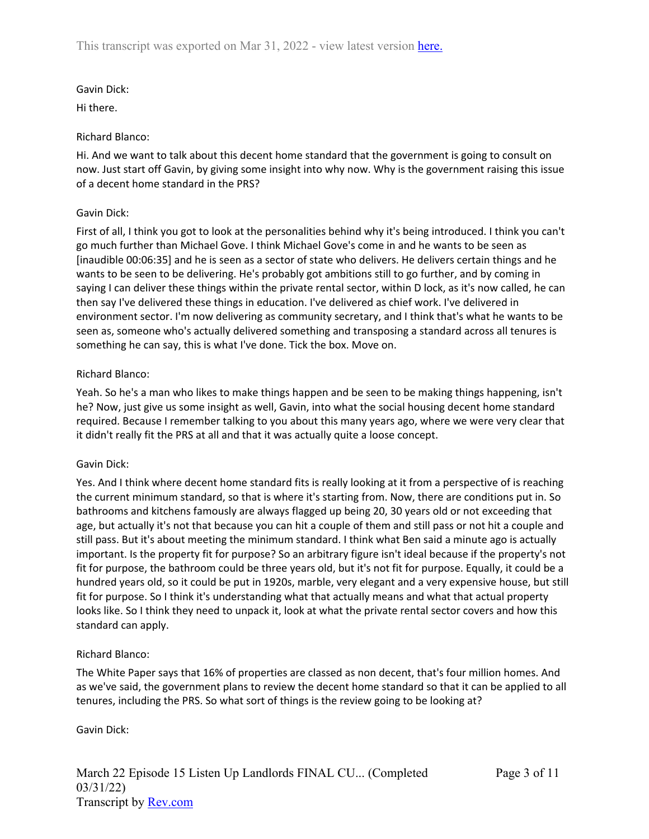Gavin Dick:

Hi there.

# Richard Blanco:

Hi. And we want to talk about this decent home standard that the government is going to consult on now. Just start off Gavin, by giving some insight into why now. Why is the government raising this issue of a decent home standard in the PRS?

# Gavin Dick:

First of all, I think you got to look at the personalities behind why it's being introduced. I think you can't go much further than Michael Gove. I think Michael Gove's come in and he wants to be seen as [inaudible 00:06:35] and he is seen as a sector of state who delivers. He delivers certain things and he wants to be seen to be delivering. He's probably got ambitions still to go further, and by coming in saying I can deliver these things within the private rental sector, within D lock, as it's now called, he can then say I've delivered these things in education. I've delivered as chief work. I've delivered in environment sector. I'm now delivering as community secretary, and I think that's what he wants to be seen as, someone who's actually delivered something and transposing a standard across all tenures is something he can say, this is what I've done. Tick the box. Move on.

# Richard Blanco:

Yeah. So he's a man who likes to make things happen and be seen to be making things happening, isn't he? Now, just give us some insight as well, Gavin, into what the social housing decent home standard required. Because I remember talking to you about this many years ago, where we were very clear that it didn't really fit the PRS at all and that it was actually quite a loose concept.

## Gavin Dick:

Yes. And I think where decent home standard fits is really looking at it from a perspective of is reaching the current minimum standard, so that is where it's starting from. Now, there are conditions put in. So bathrooms and kitchens famously are always flagged up being 20, 30 years old or not exceeding that age, but actually it's not that because you can hit a couple of them and still pass or not hit a couple and still pass. But it's about meeting the minimum standard. I think what Ben said a minute ago is actually important. Is the property fit for purpose? So an arbitrary figure isn't ideal because if the property's not fit for purpose, the bathroom could be three years old, but it's not fit for purpose. Equally, it could be a hundred years old, so it could be put in 1920s, marble, very elegant and a very expensive house, but still fit for purpose. So I think it's understanding what that actually means and what that actual property looks like. So I think they need to unpack it, look at what the private rental sector covers and how this standard can apply.

# Richard Blanco:

The White Paper says that 16% of properties are classed as non decent, that's four million homes. And as we've said, the government plans to review the decent home standard so that it can be applied to all tenures, including the PRS. So what sort of things is the review going to be looking at?

Gavin Dick: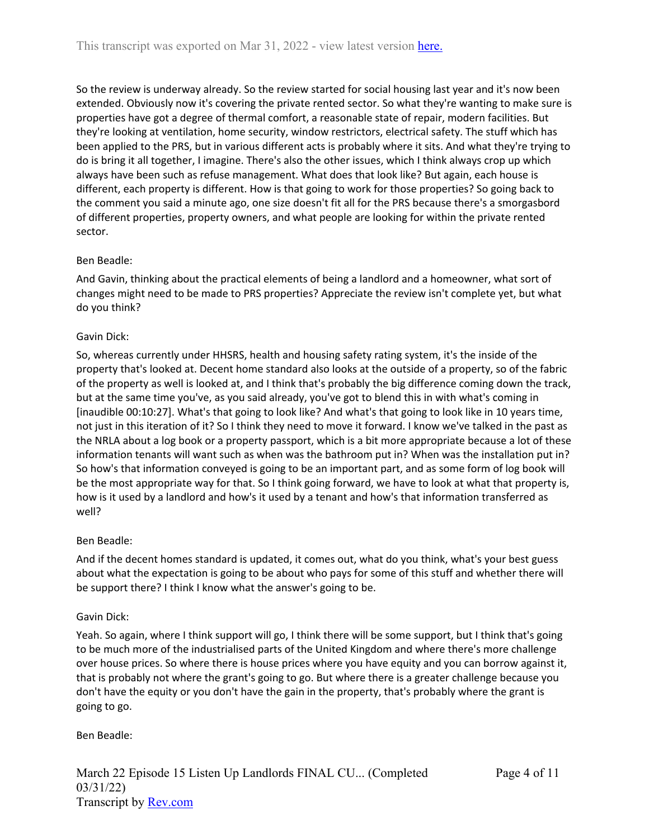So the review is underway already. So the review started for social housing last year and it's now been extended. Obviously now it's covering the private rented sector. So what they're wanting to make sure is properties have got a degree of thermal comfort, a reasonable state of repair, modern facilities. But they're looking at ventilation, home security, window restrictors, electrical safety. The stuff which has been applied to the PRS, but in various different acts is probably where it sits. And what they're trying to do is bring it all together, I imagine. There's also the other issues, which I think always crop up which always have been such as refuse management. What does that look like? But again, each house is different, each property is different. How is that going to work for those properties? So going back to the comment you said a minute ago, one size doesn't fit all for the PRS because there's a smorgasbord of different properties, property owners, and what people are looking for within the private rented sector.

## Ben Beadle:

And Gavin, thinking about the practical elements of being a landlord and a homeowner, what sort of changes might need to be made to PRS properties? Appreciate the review isn't complete yet, but what do you think?

### Gavin Dick:

So, whereas currently under HHSRS, health and housing safety rating system, it's the inside of the property that's looked at. Decent home standard also looks at the outside of a property, so of the fabric of the property as well is looked at, and I think that's probably the big difference coming down the track, but at the same time you've, as you said already, you've got to blend this in with what's coming in [inaudible 00:10:27]. What's that going to look like? And what's that going to look like in 10 years time, not just in this iteration of it? So I think they need to move it forward. I know we've talked in the past as the NRLA about a log book or a property passport, which is a bit more appropriate because a lot of these information tenants will want such as when was the bathroom put in? When was the installation put in? So how's that information conveyed is going to be an important part, and as some form of log book will be the most appropriate way for that. So I think going forward, we have to look at what that property is, how is it used by a landlord and how's it used by a tenant and how's that information transferred as well?

### Ben Beadle:

And if the decent homes standard is updated, it comes out, what do you think, what's your best guess about what the expectation is going to be about who pays for some of this stuff and whether there will be support there? I think I know what the answer's going to be.

### Gavin Dick:

Yeah. So again, where I think support will go, I think there will be some support, but I think that's going to be much more of the industrialised parts of the United Kingdom and where there's more challenge over house prices. So where there is house prices where you have equity and you can borrow against it, that is probably not where the grant's going to go. But where there is a greater challenge because you don't have the equity or you don't have the gain in the property, that's probably where the grant is going to go.

### Ben Beadle: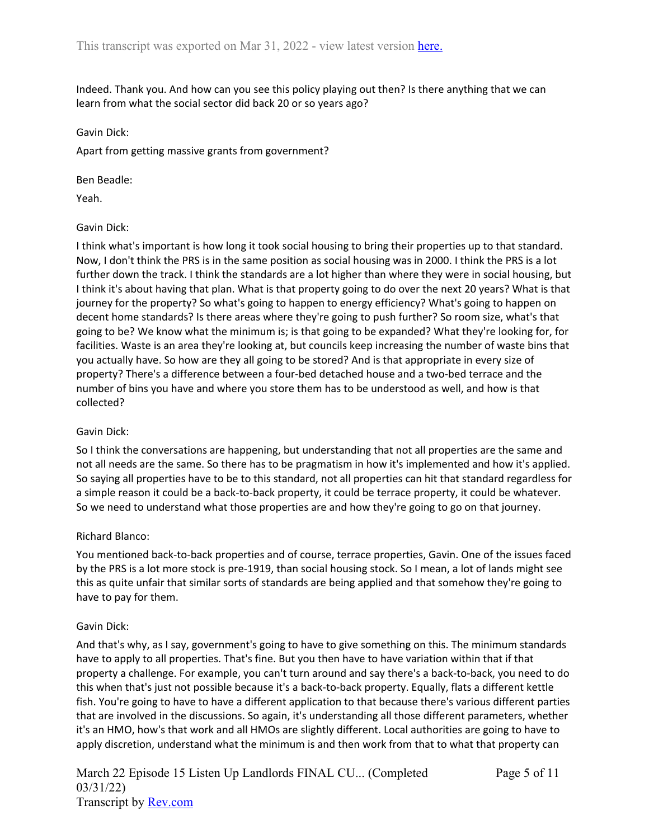Indeed. Thank you. And how can you see this policy playing out then? Is there anything that we can learn from what the social sector did back 20 or so years ago?

## Gavin Dick:

Apart from getting massive grants from government?

## Ben Beadle:

Yeah.

## Gavin Dick:

I think what's important is how long it took social housing to bring their properties up to that standard. Now, I don't think the PRS is in the same position as social housing was in 2000. I think the PRS is a lot further down the track. I think the standards are a lot higher than where they were in social housing, but I think it's about having that plan. What is that property going to do over the next 20 years? What is that journey for the property? So what's going to happen to energy efficiency? What's going to happen on decent home standards? Is there areas where they're going to push further? So room size, what's that going to be? We know what the minimum is; is that going to be expanded? What they're looking for, for facilities. Waste is an area they're looking at, but councils keep increasing the number of waste bins that you actually have. So how are they all going to be stored? And is that appropriate in every size of property? There's a difference between a four-bed detached house and a two-bed terrace and the number of bins you have and where you store them has to be understood as well, and how is that collected?

## Gavin Dick:

So I think the conversations are happening, but understanding that not all properties are the same and not all needs are the same. So there has to be pragmatism in how it's implemented and how it's applied. So saying all properties have to be to this standard, not all properties can hit that standard regardless for a simple reason it could be a back-to-back property, it could be terrace property, it could be whatever. So we need to understand what those properties are and how they're going to go on that journey.

## Richard Blanco:

You mentioned back-to-back properties and of course, terrace properties, Gavin. One of the issues faced by the PRS is a lot more stock is pre-1919, than social housing stock. So I mean, a lot of lands might see this as quite unfair that similar sorts of standards are being applied and that somehow they're going to have to pay for them.

## Gavin Dick:

And that's why, as I say, government's going to have to give something on this. The minimum standards have to apply to all properties. That's fine. But you then have to have variation within that if that property a challenge. For example, you can't turn around and say there's a back-to-back, you need to do this when that's just not possible because it's a back-to-back property. Equally, flats a different kettle fish. You're going to have to have a different application to that because there's various different parties that are involved in the discussions. So again, it's understanding all those different parameters, whether it's an HMO, how's that work and all HMOs are slightly different. Local authorities are going to have to apply discretion, understand what the minimum is and then work from that to what that property can

March 22 Episode 15 Listen Up Landlords FINAL CU... (Completed 03/31/22) Transcript by [Rev.com](https://www.rev.com/)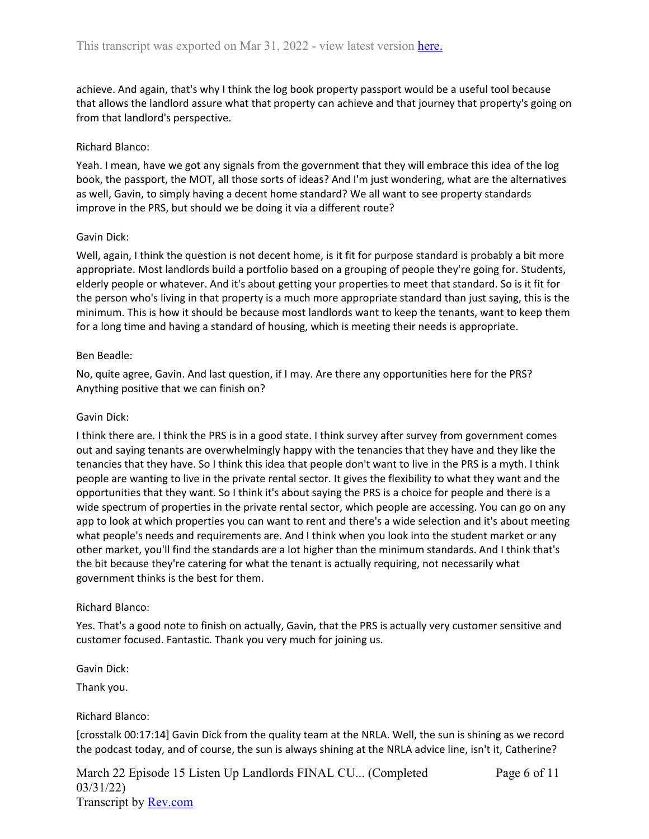achieve. And again, that's why I think the log book property passport would be a useful tool because that allows the landlord assure what that property can achieve and that journey that property's going on from that landlord's perspective.

## Richard Blanco:

Yeah. I mean, have we got any signals from the government that they will embrace this idea of the log book, the passport, the MOT, all those sorts of ideas? And I'm just wondering, what are the alternatives as well, Gavin, to simply having a decent home standard? We all want to see property standards improve in the PRS, but should we be doing it via a different route?

### Gavin Dick:

Well, again, I think the question is not decent home, is it fit for purpose standard is probably a bit more appropriate. Most landlords build a portfolio based on a grouping of people they're going for. Students, elderly people or whatever. And it's about getting your properties to meet that standard. So is it fit for the person who's living in that property is a much more appropriate standard than just saying, this is the minimum. This is how it should be because most landlords want to keep the tenants, want to keep them for a long time and having a standard of housing, which is meeting their needs is appropriate.

## Ben Beadle:

No, quite agree, Gavin. And last question, if I may. Are there any opportunities here for the PRS? Anything positive that we can finish on?

### Gavin Dick:

I think there are. I think the PRS is in a good state. I think survey after survey from government comes out and saying tenants are overwhelmingly happy with the tenancies that they have and they like the tenancies that they have. So I think this idea that people don't want to live in the PRS is a myth. I think people are wanting to live in the private rental sector. It gives the flexibility to what they want and the opportunities that they want. So I think it's about saying the PRS is a choice for people and there is a wide spectrum of properties in the private rental sector, which people are accessing. You can go on any app to look at which properties you can want to rent and there's a wide selection and it's about meeting what people's needs and requirements are. And I think when you look into the student market or any other market, you'll find the standards are a lot higher than the minimum standards. And I think that's the bit because they're catering for what the tenant is actually requiring, not necessarily what government thinks is the best for them.

### Richard Blanco:

Yes. That's a good note to finish on actually, Gavin, that the PRS is actually very customer sensitive and customer focused. Fantastic. Thank you very much for joining us.

Gavin Dick:

Thank you.

### Richard Blanco:

[crosstalk 00:17:14] Gavin Dick from the quality team at the NRLA. Well, the sun is shining as we record the podcast today, and of course, the sun is always shining at the NRLA advice line, isn't it, Catherine?

March 22 Episode 15 Listen Up Landlords FINAL CU... (Completed 03/31/22) Transcript by [Rev.com](https://www.rev.com/)

Page 6 of 11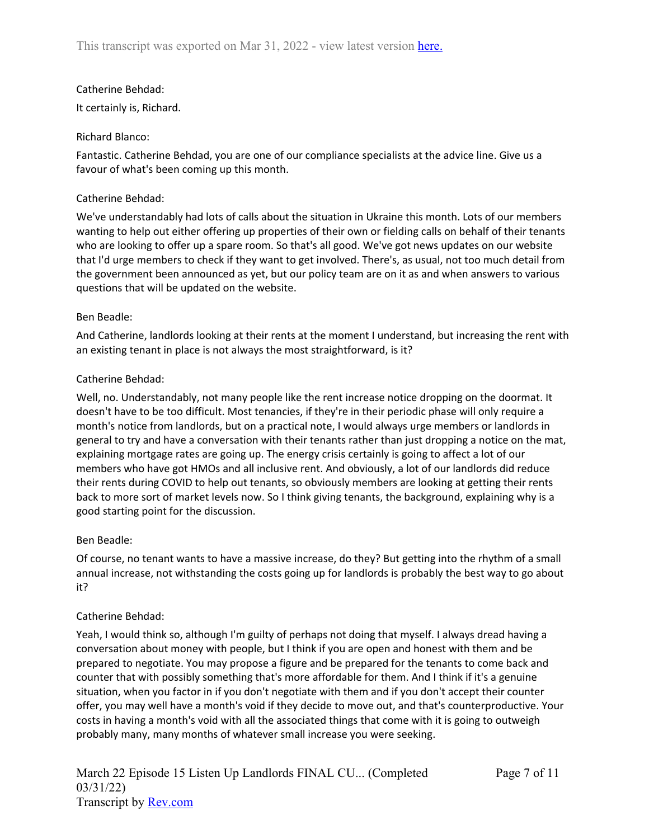## Catherine Behdad:

It certainly is, Richard.

## Richard Blanco:

Fantastic. Catherine Behdad, you are one of our compliance specialists at the advice line. Give us a favour of what's been coming up this month.

## Catherine Behdad:

We've understandably had lots of calls about the situation in Ukraine this month. Lots of our members wanting to help out either offering up properties of their own or fielding calls on behalf of their tenants who are looking to offer up a spare room. So that's all good. We've got news updates on our website that I'd urge members to check if they want to get involved. There's, as usual, not too much detail from the government been announced as yet, but our policy team are on it as and when answers to various questions that will be updated on the website.

## Ben Beadle:

And Catherine, landlords looking at their rents at the moment I understand, but increasing the rent with an existing tenant in place is not always the most straightforward, is it?

## Catherine Behdad:

Well, no. Understandably, not many people like the rent increase notice dropping on the doormat. It doesn't have to be too difficult. Most tenancies, if they're in their periodic phase will only require a month's notice from landlords, but on a practical note, I would always urge members or landlords in general to try and have a conversation with their tenants rather than just dropping a notice on the mat, explaining mortgage rates are going up. The energy crisis certainly is going to affect a lot of our members who have got HMOs and all inclusive rent. And obviously, a lot of our landlords did reduce their rents during COVID to help out tenants, so obviously members are looking at getting their rents back to more sort of market levels now. So I think giving tenants, the background, explaining why is a good starting point for the discussion.

### Ben Beadle:

Of course, no tenant wants to have a massive increase, do they? But getting into the rhythm of a small annual increase, not withstanding the costs going up for landlords is probably the best way to go about it?

### Catherine Behdad:

Yeah, I would think so, although I'm guilty of perhaps not doing that myself. I always dread having a conversation about money with people, but I think if you are open and honest with them and be prepared to negotiate. You may propose a figure and be prepared for the tenants to come back and counter that with possibly something that's more affordable for them. And I think if it's a genuine situation, when you factor in if you don't negotiate with them and if you don't accept their counter offer, you may well have a month's void if they decide to move out, and that's counterproductive. Your costs in having a month's void with all the associated things that come with it is going to outweigh probably many, many months of whatever small increase you were seeking.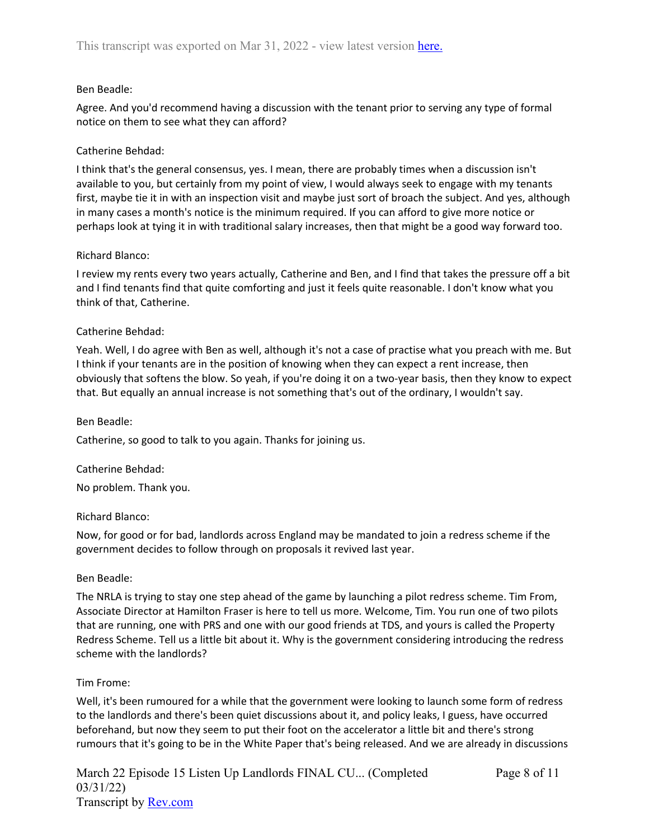## Ben Beadle:

Agree. And you'd recommend having a discussion with the tenant prior to serving any type of formal notice on them to see what they can afford?

## Catherine Behdad:

I think that's the general consensus, yes. I mean, there are probably times when a discussion isn't available to you, but certainly from my point of view, I would always seek to engage with my tenants first, maybe tie it in with an inspection visit and maybe just sort of broach the subject. And yes, although in many cases a month's notice is the minimum required. If you can afford to give more notice or perhaps look at tying it in with traditional salary increases, then that might be a good way forward too.

## Richard Blanco:

I review my rents every two years actually, Catherine and Ben, and I find that takes the pressure off a bit and I find tenants find that quite comforting and just it feels quite reasonable. I don't know what you think of that, Catherine.

## Catherine Behdad:

Yeah. Well, I do agree with Ben as well, although it's not a case of practise what you preach with me. But I think if your tenants are in the position of knowing when they can expect a rent increase, then obviously that softens the blow. So yeah, if you're doing it on a two-year basis, then they know to expect that. But equally an annual increase is not something that's out of the ordinary, I wouldn't say.

### Ben Beadle:

Catherine, so good to talk to you again. Thanks for joining us.

### Catherine Behdad:

No problem. Thank you.

### Richard Blanco:

Now, for good or for bad, landlords across England may be mandated to join a redress scheme if the government decides to follow through on proposals it revived last year.

### Ben Beadle:

The NRLA is trying to stay one step ahead of the game by launching a pilot redress scheme. Tim From, Associate Director at Hamilton Fraser is here to tell us more. Welcome, Tim. You run one of two pilots that are running, one with PRS and one with our good friends at TDS, and yours is called the Property Redress Scheme. Tell us a little bit about it. Why is the government considering introducing the redress scheme with the landlords?

### Tim Frome:

Well, it's been rumoured for a while that the government were looking to launch some form of redress to the landlords and there's been quiet discussions about it, and policy leaks, I guess, have occurred beforehand, but now they seem to put their foot on the accelerator a little bit and there's strong rumours that it's going to be in the White Paper that's being released. And we are already in discussions

March 22 Episode 15 Listen Up Landlords FINAL CU... (Completed 03/31/22) Transcript by [Rev.com](https://www.rev.com/)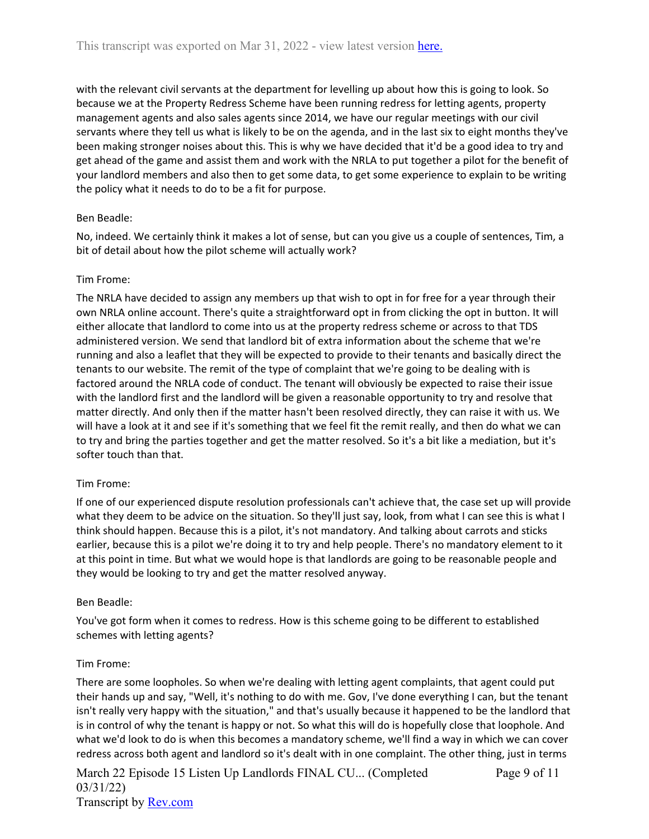with the relevant civil servants at the department for levelling up about how this is going to look. So because we at the Property Redress Scheme have been running redress for letting agents, property management agents and also sales agents since 2014, we have our regular meetings with our civil servants where they tell us what is likely to be on the agenda, and in the last six to eight months they've been making stronger noises about this. This is why we have decided that it'd be a good idea to try and get ahead of the game and assist them and work with the NRLA to put together a pilot for the benefit of your landlord members and also then to get some data, to get some experience to explain to be writing the policy what it needs to do to be a fit for purpose.

## Ben Beadle:

No, indeed. We certainly think it makes a lot of sense, but can you give us a couple of sentences, Tim, a bit of detail about how the pilot scheme will actually work?

## Tim Frome:

The NRLA have decided to assign any members up that wish to opt in for free for a year through their own NRLA online account. There's quite a straightforward opt in from clicking the opt in button. It will either allocate that landlord to come into us at the property redress scheme or across to that TDS administered version. We send that landlord bit of extra information about the scheme that we're running and also a leaflet that they will be expected to provide to their tenants and basically direct the tenants to our website. The remit of the type of complaint that we're going to be dealing with is factored around the NRLA code of conduct. The tenant will obviously be expected to raise their issue with the landlord first and the landlord will be given a reasonable opportunity to try and resolve that matter directly. And only then if the matter hasn't been resolved directly, they can raise it with us. We will have a look at it and see if it's something that we feel fit the remit really, and then do what we can to try and bring the parties together and get the matter resolved. So it's a bit like a mediation, but it's softer touch than that.

### Tim Frome:

If one of our experienced dispute resolution professionals can't achieve that, the case set up will provide what they deem to be advice on the situation. So they'll just say, look, from what I can see this is what I think should happen. Because this is a pilot, it's not mandatory. And talking about carrots and sticks earlier, because this is a pilot we're doing it to try and help people. There's no mandatory element to it at this point in time. But what we would hope is that landlords are going to be reasonable people and they would be looking to try and get the matter resolved anyway.

### Ben Beadle:

You've got form when it comes to redress. How is this scheme going to be different to established schemes with letting agents?

### Tim Frome:

There are some loopholes. So when we're dealing with letting agent complaints, that agent could put their hands up and say, "Well, it's nothing to do with me. Gov, I've done everything I can, but the tenant isn't really very happy with the situation," and that's usually because it happened to be the landlord that is in control of why the tenant is happy or not. So what this will do is hopefully close that loophole. And what we'd look to do is when this becomes a mandatory scheme, we'll find a way in which we can cover redress across both agent and landlord so it's dealt with in one complaint. The other thing, just in terms

March 22 Episode 15 Listen Up Landlords FINAL CU... (Completed 03/31/22) Transcript by [Rev.com](https://www.rev.com/) Page 9 of 11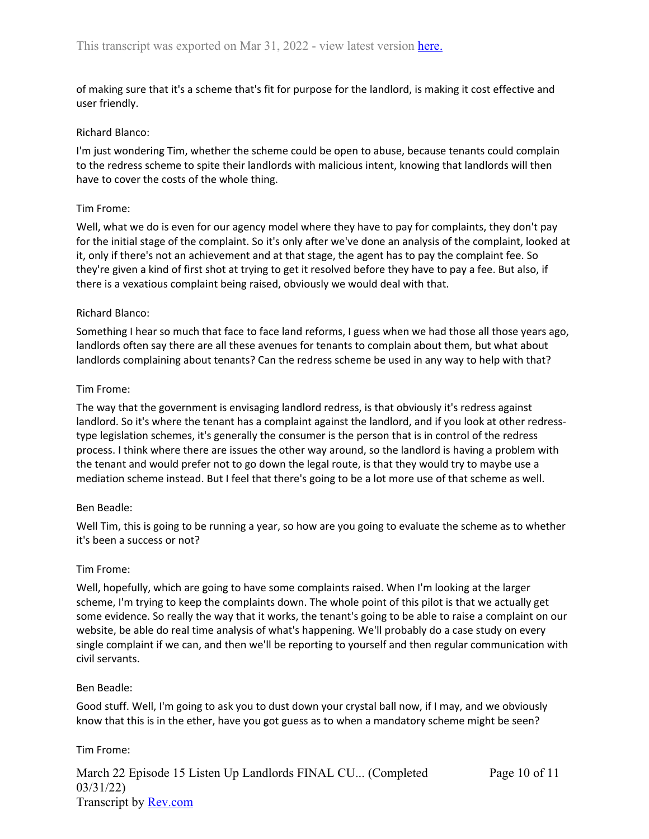of making sure that it's a scheme that's fit for purpose for the landlord, is making it cost effective and user friendly.

### Richard Blanco:

I'm just wondering Tim, whether the scheme could be open to abuse, because tenants could complain to the redress scheme to spite their landlords with malicious intent, knowing that landlords will then have to cover the costs of the whole thing.

### Tim Frome:

Well, what we do is even for our agency model where they have to pay for complaints, they don't pay for the initial stage of the complaint. So it's only after we've done an analysis of the complaint, looked at it, only if there's not an achievement and at that stage, the agent has to pay the complaint fee. So they're given a kind of first shot at trying to get it resolved before they have to pay a fee. But also, if there is a vexatious complaint being raised, obviously we would deal with that.

### Richard Blanco:

Something I hear so much that face to face land reforms, I guess when we had those all those years ago, landlords often say there are all these avenues for tenants to complain about them, but what about landlords complaining about tenants? Can the redress scheme be used in any way to help with that?

## Tim Frome:

The way that the government is envisaging landlord redress, is that obviously it's redress against landlord. So it's where the tenant has a complaint against the landlord, and if you look at other redresstype legislation schemes, it's generally the consumer is the person that is in control of the redress process. I think where there are issues the other way around, so the landlord is having a problem with the tenant and would prefer not to go down the legal route, is that they would try to maybe use a mediation scheme instead. But I feel that there's going to be a lot more use of that scheme as well.

### Ben Beadle:

Well Tim, this is going to be running a year, so how are you going to evaluate the scheme as to whether it's been a success or not?

### Tim Frome:

Well, hopefully, which are going to have some complaints raised. When I'm looking at the larger scheme, I'm trying to keep the complaints down. The whole point of this pilot is that we actually get some evidence. So really the way that it works, the tenant's going to be able to raise a complaint on our website, be able do real time analysis of what's happening. We'll probably do a case study on every single complaint if we can, and then we'll be reporting to yourself and then regular communication with civil servants.

### Ben Beadle:

Good stuff. Well, I'm going to ask you to dust down your crystal ball now, if I may, and we obviously know that this is in the ether, have you got guess as to when a mandatory scheme might be seen?

## Tim Frome:

March 22 Episode 15 Listen Up Landlords FINAL CU... (Completed 03/31/22) Transcript by [Rev.com](https://www.rev.com/)

Page 10 of 11